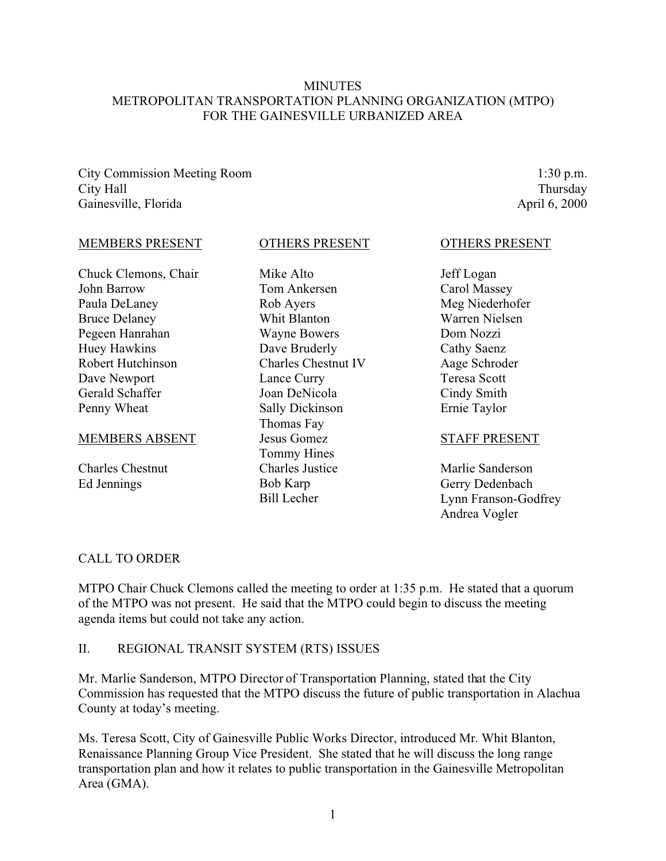### MINUTES METROPOLITAN TRANSPORTATION PLANNING ORGANIZATION (MTPO) FOR THE GAINESVILLE URBANIZED AREA

City Commission Meeting Room City Hall Gainesville, Florida

1:30 p.m. Thursday April 6, 2000

#### MEMBERS PRESENT

Chuck Clemons, Chair John Barrow Paula DeLaney Bruce Delaney Pegeen Hanrahan Huey Hawkins Robert Hutchinson Dave Newport Gerald Schaffer Penny Wheat

#### MEMBERS ABSENT

Charles Chestnut Ed Jennings

#### OTHERS PRESENT

Mike Alto Tom Ankersen Rob Ayers Whit Blanton Wayne Bowers Dave Bruderly Charles Chestnut IV Lance Curry Joan DeNicola Sally Dickinson Thomas Fay Jesus Gomez Tommy Hines Charles Justice Bob Karp Bill Lecher

#### OTHERS PRESENT

Jeff Logan Carol Massey Meg Niederhofer Warren Nielsen Dom Nozzi Cathy Saenz Aage Schroder Teresa Scott Cindy Smith Ernie Taylor

#### STAFF PRESENT

Marlie Sanderson Gerry Dedenbach Lynn Franson-Godfrey Andrea Vogler

### CALL TO ORDER

MTPO Chair Chuck Clemons called the meeting to order at 1:35 p.m. He stated that a quorum of the MTPO was not present. He said that the MTPO could begin to discuss the meeting agenda items but could not take any action.

### II. REGIONAL TRANSIT SYSTEM (RTS) ISSUES

Mr. Marlie Sanderson, MTPO Director of Transportation Planning, stated that the City Commission has requested that the MTPO discuss the future of public transportation in Alachua County at today's meeting.

Ms. Teresa Scott, City of Gainesville Public Works Director, introduced Mr. Whit Blanton, Renaissance Planning Group Vice President. She stated that he will discuss the long range transportation plan and how it relates to public transportation in the Gainesville Metropolitan Area (GMA).

1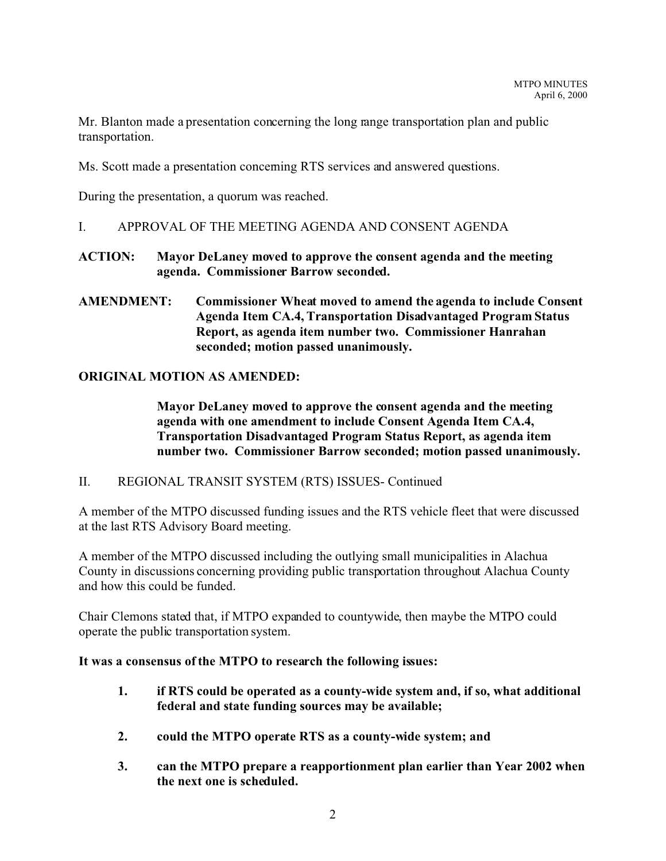Mr. Blanton made a presentation concerning the long range transportation plan and public transportation.

Ms. Scott made a presentation concerning RTS services and answered questions.

During the presentation, a quorum was reached.

I. APPROVAL OF THE MEETING AGENDA AND CONSENT AGENDA

## **ACTION: Mayor DeLaney moved to approve the consent agenda and the meeting agenda. Commissioner Barrow seconded.**

**AMENDMENT: Commissioner Wheat moved to amend the agenda to include Consent Agenda Item CA.4, Transportation Disadvantaged Program Status Report, as agenda item number two. Commissioner Hanrahan seconded; motion passed unanimously.**

## **ORIGINAL MOTION AS AMENDED:**

**Mayor DeLaney moved to approve the consent agenda and the meeting agenda with one amendment to include Consent Agenda Item CA.4, Transportation Disadvantaged Program Status Report, as agenda item number two. Commissioner Barrow seconded; motion passed unanimously.**

### II. REGIONAL TRANSIT SYSTEM (RTS) ISSUES- Continued

A member of the MTPO discussed funding issues and the RTS vehicle fleet that were discussed at the last RTS Advisory Board meeting.

A member of the MTPO discussed including the outlying small municipalities in Alachua County in discussions concerning providing public transportation throughout Alachua County and how this could be funded.

Chair Clemons stated that, if MTPO expanded to countywide, then maybe the MTPO could operate the public transportation system.

### **It was a consensus of the MTPO to research the following issues:**

- **1. if RTS could be operated as a county-wide system and, if so, what additional federal and state funding sources may be available;**
- **2. could the MTPO operate RTS as a county-wide system; and**
- **3. can the MTPO prepare a reapportionment plan earlier than Year 2002 when the next one is scheduled.**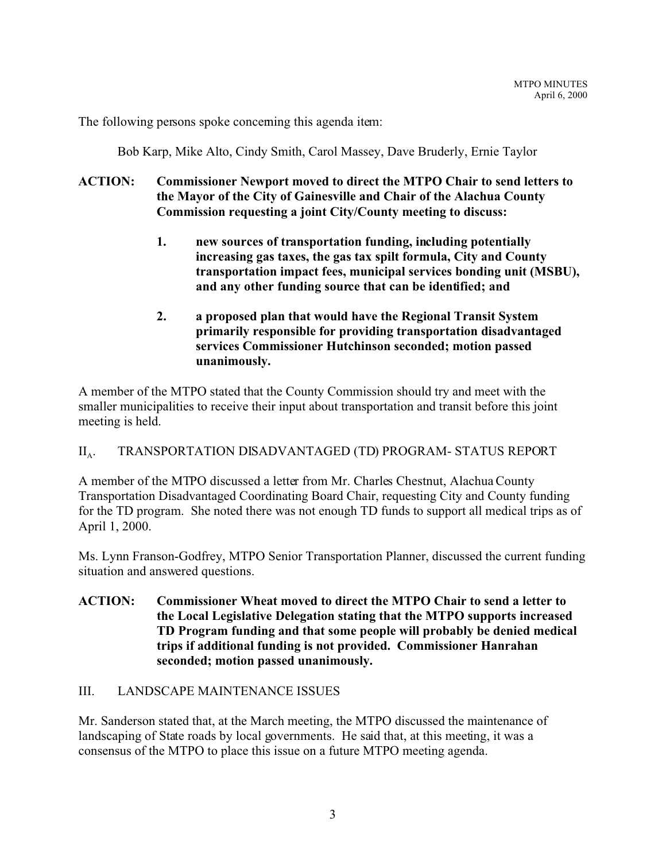The following persons spoke concerning this agenda item:

Bob Karp, Mike Alto, Cindy Smith, Carol Massey, Dave Bruderly, Ernie Taylor

## **ACTION: Commissioner Newport moved to direct the MTPO Chair to send letters to the Mayor of the City of Gainesville and Chair of the Alachua County Commission requesting a joint City/County meeting to discuss:**

- **1. new sources of transportation funding, including potentially increasing gas taxes, the gas tax spilt formula, City and County transportation impact fees, municipal services bonding unit (MSBU), and any other funding source that can be identified; and**
- **2. a proposed plan that would have the Regional Transit System primarily responsible for providing transportation disadvantaged services Commissioner Hutchinson seconded; motion passed unanimously.**

A member of the MTPO stated that the County Commission should try and meet with the smaller municipalities to receive their input about transportation and transit before this joint meeting is held.

#### $\prod_{\Delta}$ . . TRANSPORTATION DISADVANTAGED (TD) PROGRAM- STATUS REPORT

A member of the MTPO discussed a letter from Mr. Charles Chestnut, Alachua County Transportation Disadvantaged Coordinating Board Chair, requesting City and County funding for the TD program. She noted there was not enough TD funds to support all medical trips as of April 1, 2000.

Ms. Lynn Franson-Godfrey, MTPO Senior Transportation Planner, discussed the current funding situation and answered questions.

**ACTION: Commissioner Wheat moved to direct the MTPO Chair to send a letter to the Local Legislative Delegation stating that the MTPO supports increased TD Program funding and that some people will probably be denied medical trips if additional funding is not provided. Commissioner Hanrahan seconded; motion passed unanimously.**

### III. LANDSCAPE MAINTENANCE ISSUES

Mr. Sanderson stated that, at the March meeting, the MTPO discussed the maintenance of landscaping of State roads by local governments. He said that, at this meeting, it was a consensus of the MTPO to place this issue on a future MTPO meeting agenda.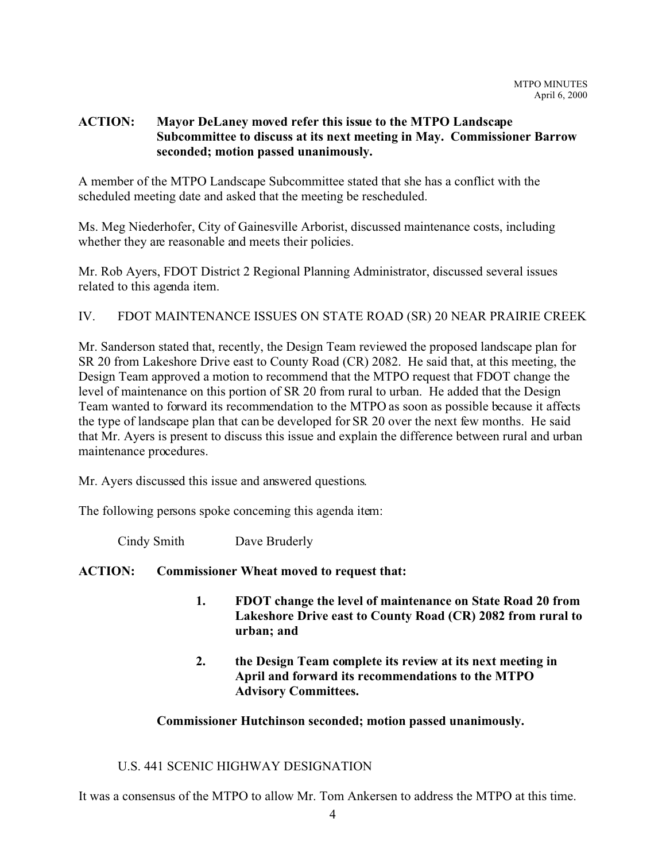## **ACTION: Mayor DeLaney moved refer this issue to the MTPO Landscape Subcommittee to discuss at its next meeting in May. Commissioner Barrow seconded; motion passed unanimously.**

A member of the MTPO Landscape Subcommittee stated that she has a conflict with the scheduled meeting date and asked that the meeting be rescheduled.

Ms. Meg Niederhofer, City of Gainesville Arborist, discussed maintenance costs, including whether they are reasonable and meets their policies.

Mr. Rob Ayers, FDOT District 2 Regional Planning Administrator, discussed several issues related to this agenda item.

## IV. FDOT MAINTENANCE ISSUES ON STATE ROAD (SR) 20 NEAR PRAIRIE CREEK

Mr. Sanderson stated that, recently, the Design Team reviewed the proposed landscape plan for SR 20 from Lakeshore Drive east to County Road (CR) 2082. He said that, at this meeting, the Design Team approved a motion to recommend that the MTPO request that FDOT change the level of maintenance on this portion of SR 20 from rural to urban. He added that the Design Team wanted to forward its recommendation to the MTPO as soon as possible because it affects the type of landscape plan that can be developed for SR 20 over the next few months. He said that Mr. Ayers is present to discuss this issue and explain the difference between rural and urban maintenance procedures.

Mr. Ayers discussed this issue and answered questions.

The following persons spoke concerning this agenda item:

Cindy Smith Dave Bruderly

### **ACTION: Commissioner Wheat moved to request that:**

- **1. FDOT change the level of maintenance on State Road 20 from Lakeshore Drive east to County Road (CR) 2082 from rural to urban; and**
- **2. the Design Team complete its review at its next meeting in April and forward its recommendations to the MTPO Advisory Committees.**

### **Commissioner Hutchinson seconded; motion passed unanimously.**

## U.S. 441 SCENIC HIGHWAY DESIGNATION

It was a consensus of the MTPO to allow Mr. Tom Ankersen to address the MTPO at this time.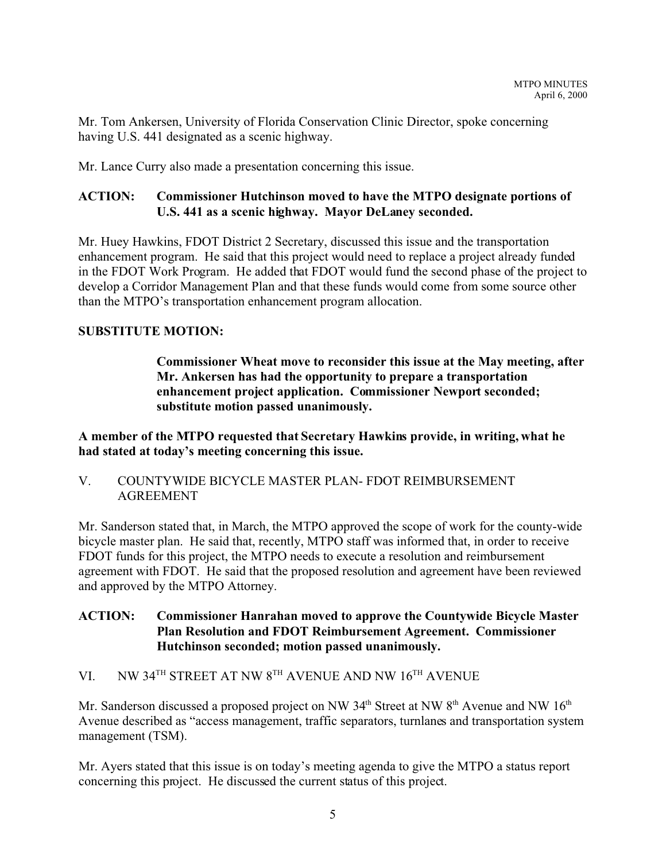Mr. Tom Ankersen, University of Florida Conservation Clinic Director, spoke concerning having U.S. 441 designated as a scenic highway.

Mr. Lance Curry also made a presentation concerning this issue.

## **ACTION: Commissioner Hutchinson moved to have the MTPO designate portions of U.S. 441 as a scenic highway. Mayor DeLaney seconded.**

Mr. Huey Hawkins, FDOT District 2 Secretary, discussed this issue and the transportation enhancement program. He said that this project would need to replace a project already funded in the FDOT Work Program. He added that FDOT would fund the second phase of the project to develop a Corridor Management Plan and that these funds would come from some source other than the MTPO's transportation enhancement program allocation.

## **SUBSTITUTE MOTION:**

**Commissioner Wheat move to reconsider this issue at the May meeting, after Mr. Ankersen has had the opportunity to prepare a transportation enhancement project application. Commissioner Newport seconded; substitute motion passed unanimously.**

**A member of the MTPO requested that Secretary Hawkins provide, in writing, what he had stated at today's meeting concerning this issue.**

V. COUNTYWIDE BICYCLE MASTER PLAN- FDOT REIMBURSEMENT AGREEMENT

Mr. Sanderson stated that, in March, the MTPO approved the scope of work for the county-wide bicycle master plan. He said that, recently, MTPO staff was informed that, in order to receive FDOT funds for this project, the MTPO needs to execute a resolution and reimbursement agreement with FDOT. He said that the proposed resolution and agreement have been reviewed and approved by the MTPO Attorney.

## **ACTION: Commissioner Hanrahan moved to approve the Countywide Bicycle Master Plan Resolution and FDOT Reimbursement Agreement. Commissioner Hutchinson seconded; motion passed unanimously.**

# VI. NW 34TH STREET AT NW 8TH AVENUE AND NW 16TH AVENUE

Mr. Sanderson discussed a proposed project on NW  $34<sup>th</sup>$  Street at NW  $8<sup>th</sup>$  Avenue and NW  $16<sup>th</sup>$ Avenue described as "access management, traffic separators, turnlanes and transportation system management (TSM).

Mr. Ayers stated that this issue is on today's meeting agenda to give the MTPO a status report concerning this project. He discussed the current status of this project.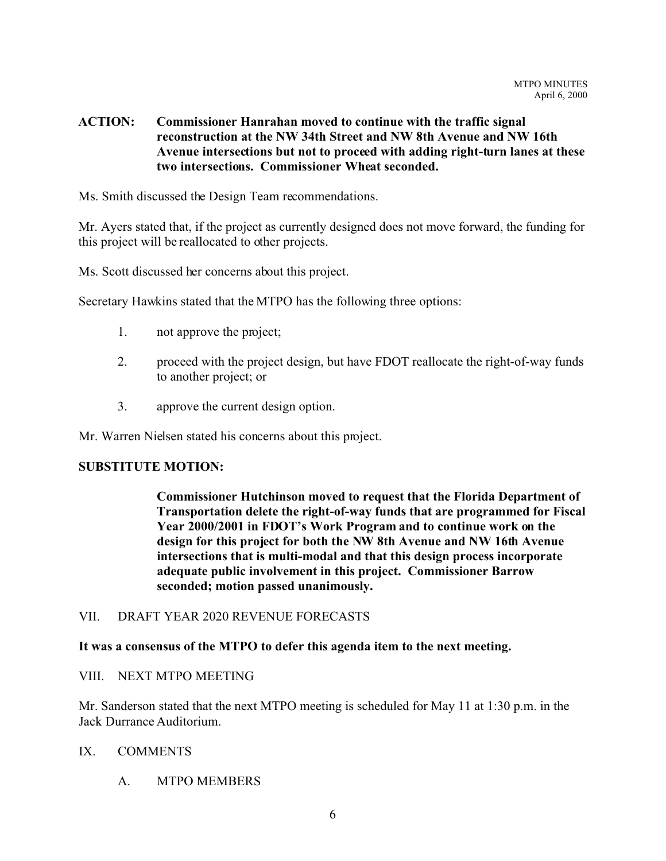## **ACTION: Commissioner Hanrahan moved to continue with the traffic signal reconstruction at the NW 34th Street and NW 8th Avenue and NW 16th Avenue intersections but not to proceed with adding right-turn lanes at these two intersections. Commissioner Wheat seconded.**

Ms. Smith discussed the Design Team recommendations.

Mr. Ayers stated that, if the project as currently designed does not move forward, the funding for this project will be reallocated to other projects.

Ms. Scott discussed her concerns about this project.

Secretary Hawkins stated that the MTPO has the following three options:

- 1. not approve the project;
- 2. proceed with the project design, but have FDOT reallocate the right-of-way funds to another project; or
- 3. approve the current design option.

Mr. Warren Nielsen stated his concerns about this project.

### **SUBSTITUTE MOTION:**

**Commissioner Hutchinson moved to request that the Florida Department of Transportation delete the right-of-way funds that are programmed for Fiscal Year 2000/2001 in FDOT's Work Program and to continue work on the design for this project for both the NW 8th Avenue and NW 16th Avenue intersections that is multi-modal and that this design process incorporate adequate public involvement in this project. Commissioner Barrow seconded; motion passed unanimously.**

### VII. DRAFT YEAR 2020 REVENUE FORECASTS

### **It was a consensus of the MTPO to defer this agenda item to the next meeting.**

### VIII. NEXT MTPO MEETING

Mr. Sanderson stated that the next MTPO meeting is scheduled for May 11 at 1:30 p.m. in the Jack Durrance Auditorium.

### IX. COMMENTS

A. MTPO MEMBERS